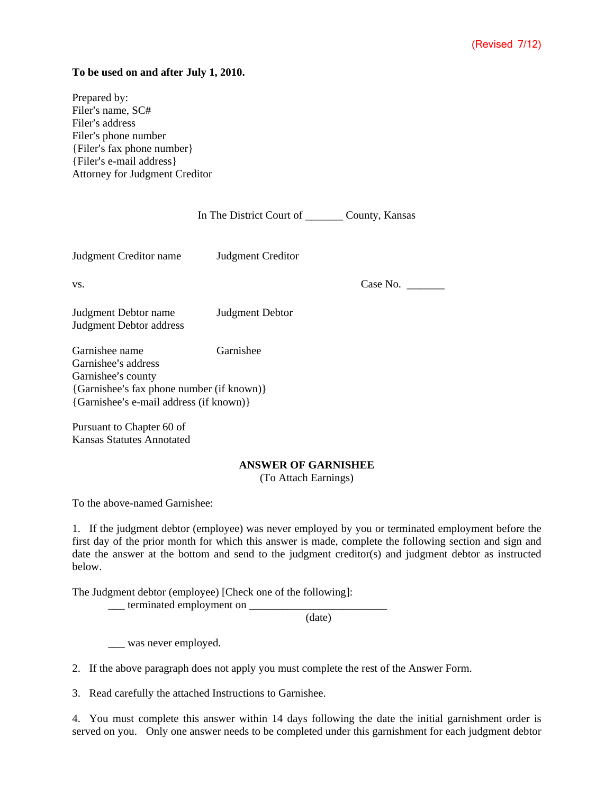## **To be used on and after July 1, 2010.**

Prepared by: Filer's name, SC# Filer's address Filer's phone number {Filer=s fax phone number} {Filer=s e-mail address} Attorney for Judgment Creditor

|                                                             | In The District Court of | County, Kansas |
|-------------------------------------------------------------|--------------------------|----------------|
| Judgment Creditor name                                      | Judgment Creditor        |                |
| VS.                                                         |                          | Case No.       |
| Judgment Debtor name<br><b>Judgment Debtor address</b>      | Judgment Debtor          |                |
| Garnishee name<br>Garnishee's address<br>Garnishee's county | Garnishee                |                |

{Garnishee's fax phone number (if known)} {Garnishee's e-mail address (if known)}

Pursuant to Chapter 60 of Kansas Statutes Annotated

## **ANSWER OF GARNISHEE**

(To Attach Earnings)

To the above-named Garnishee:

1. If the judgment debtor (employee) was never employed by you or terminated employment before the first day of the prior month for which this answer is made, complete the following section and sign and date the answer at the bottom and send to the judgment creditor(s) and judgment debtor as instructed below.

The Judgment debtor (employee) [Check one of the following]:

 $\frac{1}{2}$  terminated employment on  $\frac{1}{2}$ 

(date)

\_\_\_ was never employed.

2. If the above paragraph does not apply you must complete the rest of the Answer Form.

3. Read carefully the attached Instructions to Garnishee.

4. You must complete this answer within 14 days following the date the initial garnishment order is served on you. Only one answer needs to be completed under this garnishment for each judgment debtor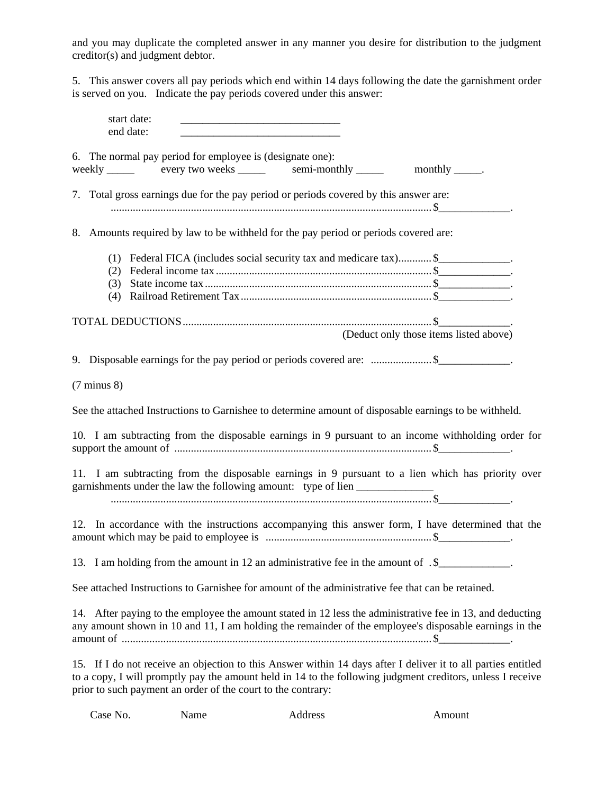and you may duplicate the completed answer in any manner you desire for distribution to the judgment creditor(s) and judgment debtor.

5. This answer covers all pay periods which end within 14 days following the date the garnishment order is served on you. Indicate the pay periods covered under this answer:

| start date:<br>end date:                                                                                                                                                                                                                                                                    |  |
|---------------------------------------------------------------------------------------------------------------------------------------------------------------------------------------------------------------------------------------------------------------------------------------------|--|
| 6. The normal pay period for employee is (designate one):<br>weekly ______ every two weeks ______ semi-monthly _____<br>monthly $\_\_\_\_\$ .                                                                                                                                               |  |
| 7. Total gross earnings due for the pay period or periods covered by this answer are:                                                                                                                                                                                                       |  |
| 8. Amounts required by law to be withheld for the pay period or periods covered are:                                                                                                                                                                                                        |  |
| Federal FICA (includes social security tax and medicare tax) \$<br>(1)<br>(2)<br>(3)<br>(4)                                                                                                                                                                                                 |  |
| (Deduct only those items listed above)                                                                                                                                                                                                                                                      |  |
| 9. Disposable earnings for the pay period or periods covered are: \$                                                                                                                                                                                                                        |  |
| $(7 \text{ minus } 8)$                                                                                                                                                                                                                                                                      |  |
| See the attached Instructions to Garnishee to determine amount of disposable earnings to be withheld.                                                                                                                                                                                       |  |
| 10. I am subtracting from the disposable earnings in 9 pursuant to an income withholding order for                                                                                                                                                                                          |  |
| 11. I am subtracting from the disposable earnings in 9 pursuant to a lien which has priority over<br>garnishments under the law the following amount: type of lien __________________                                                                                                       |  |
| 12. In accordance with the instructions accompanying this answer form, I have determined that the                                                                                                                                                                                           |  |
| 13. I am holding from the amount in 12 an administrative fee in the amount of .\$____________.                                                                                                                                                                                              |  |
| See attached Instructions to Garnishee for amount of the administrative fee that can be retained.                                                                                                                                                                                           |  |
| 14. After paying to the employee the amount stated in 12 less the administrative fee in 13, and deducting<br>any amount shown in 10 and 11, I am holding the remainder of the employee's disposable earnings in the                                                                         |  |
| 15. If I do not receive an objection to this Answer within 14 days after I deliver it to all parties entitled<br>to a copy, I will promptly pay the amount held in 14 to the following judgment creditors, unless I receive<br>prior to such payment an order of the court to the contrary: |  |

Case No. Name Address Amount